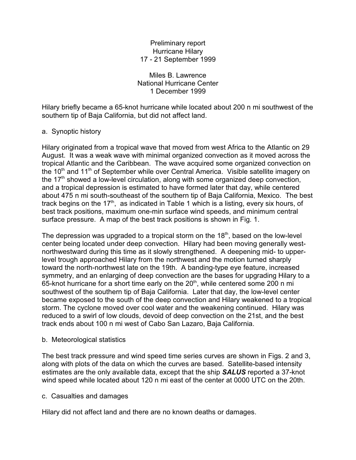#### Preliminary report Hurricane Hilary 17 - 21 September 1999

#### Miles B. Lawrence National Hurricane Center 1 December 1999

Hilary briefly became a 65-knot hurricane while located about 200 n mi southwest of the southern tip of Baja California, but did not affect land.

# a. Synoptic history

Hilary originated from a tropical wave that moved from west Africa to the Atlantic on 29 August. It was a weak wave with minimal organized convection as it moved across the tropical Atlantic and the Caribbean. The wave acquired some organized convection on the 10<sup>th</sup> and 11<sup>th</sup> of September while over Central America. Visible satellite imagery on the 17<sup>th</sup> showed a low-level circulation, along with some organized deep convection, and a tropical depression is estimated to have formed later that day, while centered about 475 n mi south-southeast of the southern tip of Baja California, Mexico. The best track begins on the 17<sup>th</sup>, as indicated in Table 1 which is a listing, every six hours, of best track positions, maximum one-min surface wind speeds, and minimum central surface pressure. A map of the best track positions is shown in Fig. 1.

The depression was upgraded to a tropical storm on the  $18<sup>th</sup>$ , based on the low-level center being located under deep convection. Hilary had been moving generally westnorthwestward during this time as it slowly strengthened. A deepening mid- to upperlevel trough approached Hilary from the northwest and the motion turned sharply toward the north-northwest late on the 19th. A banding-type eye feature, increased symmetry, and an enlarging of deep convection are the bases for upgrading Hilary to a  $65$ -knot hurricane for a short time early on the  $20<sup>th</sup>$ , while centered some 200 n mi southwest of the southern tip of Baja California. Later that day, the low-level center became exposed to the south of the deep convection and Hilary weakened to a tropical storm. The cyclone moved over cool water and the weakening continued. Hilary was reduced to a swirl of low clouds, devoid of deep convection on the 21st, and the best track ends about 100 n mi west of Cabo San Lazaro, Baja California.

# b. Meteorological statistics

The best track pressure and wind speed time series curves are shown in Figs. 2 and 3, along with plots of the data on which the curves are based. Satellite-based intensity estimates are the only available data, except that the ship *SALUS* reported a 37-knot wind speed while located about 120 n mi east of the center at 0000 UTC on the 20th.

# c. Casualties and damages

Hilary did not affect land and there are no known deaths or damages.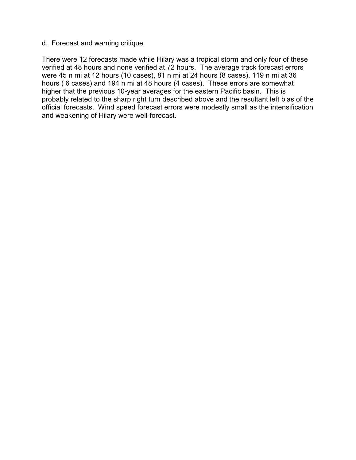#### d. Forecast and warning critique

There were 12 forecasts made while Hilary was a tropical storm and only four of these verified at 48 hours and none verified at 72 hours. The average track forecast errors were 45 n mi at 12 hours (10 cases), 81 n mi at 24 hours (8 cases), 119 n mi at 36 hours ( 6 cases) and 194 n mi at 48 hours (4 cases). These errors are somewhat higher that the previous 10-year averages for the eastern Pacific basin. This is probably related to the sharp right turn described above and the resultant left bias of the official forecasts. Wind speed forecast errors were modestly small as the intensification and weakening of Hilary were well-forecast.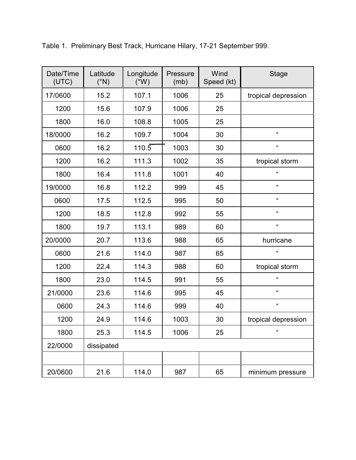| Date/Time<br>(UTC) | Latitude<br>$(^{\circ}N)$ | Longitude<br>$(W^{\circ})$ | Pressure<br>(mb) | Wind<br>Speed (kt) | <b>Stage</b>         |
|--------------------|---------------------------|----------------------------|------------------|--------------------|----------------------|
| 17/0600            | 15.2                      | 107.1                      | 1006             | 25                 | tropical depression  |
| 1200               | 15.6                      | 107.9                      | 1006             | 25                 |                      |
| 1800               | 16.0                      | 108.8                      | 1005             | 25                 |                      |
| 18/0000            | 16.2                      | 109.7                      | 1004             | 30                 | $\pmb{\mathfrak{c}}$ |
| 0600               | 16.2                      | 110.5                      | 1003             | 30                 | $\pmb{\mathfrak{c}}$ |
| 1200               | 16.2                      | 111.3                      | 1002             | 35                 | tropical storm       |
| 1800               | 16.4                      | 111.8                      | 1001             | 40                 | $\epsilon$           |
| 19/0000            | 16.8                      | 112.2                      | 999              | 45                 | $\pmb{\mathfrak{c}}$ |
| 0600               | 17.5                      | 112.5                      | 995              | 50                 | $\pmb{\mathfrak{c}}$ |
| 1200               | 18.5                      | 112.8                      | 992              | 55                 | $\pmb{\mathfrak{c}}$ |
| 1800               | 19.7                      | 113.1                      | 989              | 60                 | $\epsilon$           |
| 20/0000            | 20.7                      | 113.6                      | 988              | 65                 | hurricane            |
| 0600               | 21.6                      | 114.0                      | 987              | 65                 | $\pmb{\mathfrak{c}}$ |
| 1200               | 22.4                      | 114.3                      | 988              | 60                 | tropical storm       |
| 1800               | 23.0                      | 114.5                      | 991              | 55                 | $\epsilon$           |
| 21/0000            | 23.6                      | 114.6                      | 995              | 45                 | $\pmb{\mathfrak{c}}$ |
| 0600               | 24.3                      | 114.6                      | 999              | 40                 | $\pmb{\mathfrak{c}}$ |
| 1200               | 24.9                      | 114.6                      | 1003             | 30                 | tropical depression  |
| 1800               | 25.3                      | 114.5                      | 1006             | 25                 | $\pmb{\mathfrak{c}}$ |
| 22/0000            | dissipated                |                            |                  |                    |                      |
|                    |                           |                            |                  |                    |                      |
| 20/0600            | 21.6                      | 114.0                      | 987              | 65                 | minimum pressure     |

Table 1. Preliminary Best Track, Hurricane Hilary, 17-21 September 999.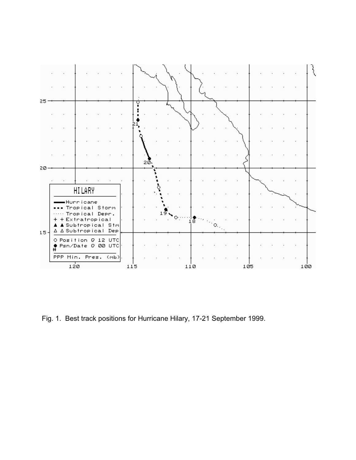

Fig. 1. Best track positions for Hurricane Hilary, 17-21 September 1999.